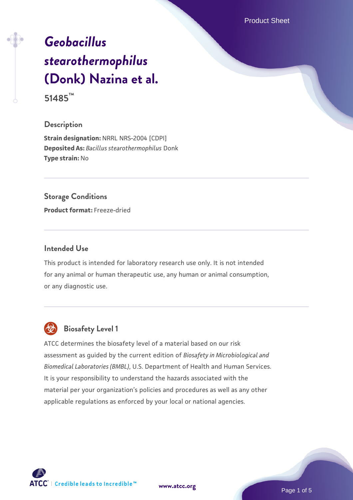Product Sheet

# *[Geobacillus](https://www.atcc.org/products/51485) [stearothermophilus](https://www.atcc.org/products/51485)* **[\(Donk\) Nazina et al.](https://www.atcc.org/products/51485)**

**51485™**

#### **Description**

**Strain designation:** NRRL NRS-2004 [CDPI] **Deposited As:** *Bacillus stearothermophilus* Donk **Type strain:** No

## **Storage Conditions**

**Product format:** Freeze-dried

#### **Intended Use**

This product is intended for laboratory research use only. It is not intended for any animal or human therapeutic use, any human or animal consumption, or any diagnostic use.



# **Biosafety Level 1**

ATCC determines the biosafety level of a material based on our risk assessment as guided by the current edition of *Biosafety in Microbiological and Biomedical Laboratories (BMBL)*, U.S. Department of Health and Human Services. It is your responsibility to understand the hazards associated with the material per your organization's policies and procedures as well as any other applicable regulations as enforced by your local or national agencies.

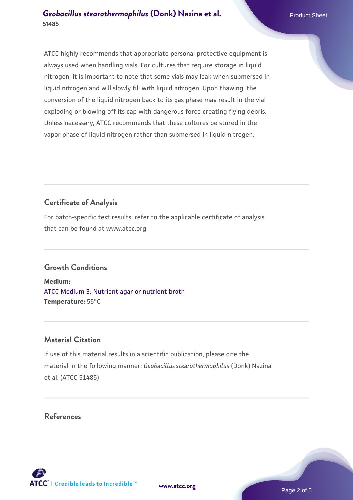ATCC highly recommends that appropriate personal protective equipment is always used when handling vials. For cultures that require storage in liquid nitrogen, it is important to note that some vials may leak when submersed in liquid nitrogen and will slowly fill with liquid nitrogen. Upon thawing, the

conversion of the liquid nitrogen back to its gas phase may result in the vial exploding or blowing off its cap with dangerous force creating flying debris. Unless necessary, ATCC recommends that these cultures be stored in the vapor phase of liquid nitrogen rather than submersed in liquid nitrogen.

# **Certificate of Analysis**

For batch-specific test results, refer to the applicable certificate of analysis that can be found at www.atcc.org.

# **Growth Conditions**

**Medium:**  [ATCC Medium 3: Nutrient agar or nutrient broth](https://www.atcc.org/-/media/product-assets/documents/microbial-media-formulations/3/atcc-medium-3.pdf?rev=7510837507e64d849c62a46b5b2197a1) **Temperature:** 55°C

# **Material Citation**

If use of this material results in a scientific publication, please cite the material in the following manner: *Geobacillus stearothermophilus* (Donk) Nazina et al. (ATCC 51485)

## **References**

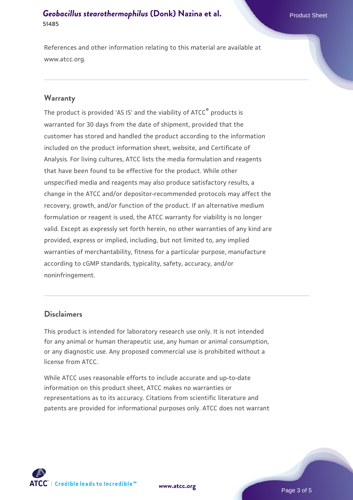#### **[Geobacillus stearothermophilus](https://www.atcc.org/products/51485) [\(Donk\) Nazina et al.](https://www.atcc.org/products/51485)** Product Sheet **51485**

References and other information relating to this material are available at www.atcc.org.

#### **Warranty**

The product is provided 'AS IS' and the viability of ATCC® products is warranted for 30 days from the date of shipment, provided that the customer has stored and handled the product according to the information included on the product information sheet, website, and Certificate of Analysis. For living cultures, ATCC lists the media formulation and reagents that have been found to be effective for the product. While other unspecified media and reagents may also produce satisfactory results, a change in the ATCC and/or depositor-recommended protocols may affect the recovery, growth, and/or function of the product. If an alternative medium formulation or reagent is used, the ATCC warranty for viability is no longer valid. Except as expressly set forth herein, no other warranties of any kind are provided, express or implied, including, but not limited to, any implied warranties of merchantability, fitness for a particular purpose, manufacture according to cGMP standards, typicality, safety, accuracy, and/or noninfringement.

#### **Disclaimers**

This product is intended for laboratory research use only. It is not intended for any animal or human therapeutic use, any human or animal consumption, or any diagnostic use. Any proposed commercial use is prohibited without a license from ATCC.

While ATCC uses reasonable efforts to include accurate and up-to-date information on this product sheet, ATCC makes no warranties or representations as to its accuracy. Citations from scientific literature and patents are provided for informational purposes only. ATCC does not warrant



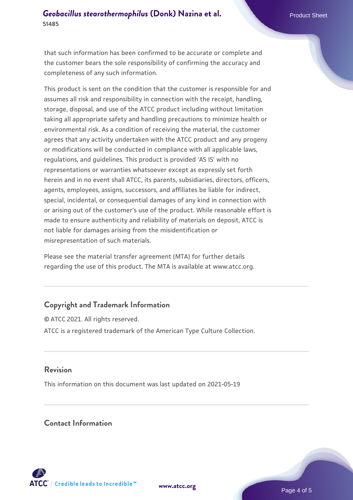#### **[Geobacillus stearothermophilus](https://www.atcc.org/products/51485) [\(Donk\) Nazina et al.](https://www.atcc.org/products/51485)** Product Sheet **51485**

that such information has been confirmed to be accurate or complete and the customer bears the sole responsibility of confirming the accuracy and completeness of any such information.

This product is sent on the condition that the customer is responsible for and assumes all risk and responsibility in connection with the receipt, handling, storage, disposal, and use of the ATCC product including without limitation taking all appropriate safety and handling precautions to minimize health or environmental risk. As a condition of receiving the material, the customer agrees that any activity undertaken with the ATCC product and any progeny or modifications will be conducted in compliance with all applicable laws, regulations, and guidelines. This product is provided 'AS IS' with no representations or warranties whatsoever except as expressly set forth herein and in no event shall ATCC, its parents, subsidiaries, directors, officers, agents, employees, assigns, successors, and affiliates be liable for indirect, special, incidental, or consequential damages of any kind in connection with or arising out of the customer's use of the product. While reasonable effort is made to ensure authenticity and reliability of materials on deposit, ATCC is not liable for damages arising from the misidentification or misrepresentation of such materials.

Please see the material transfer agreement (MTA) for further details regarding the use of this product. The MTA is available at www.atcc.org.

## **Copyright and Trademark Information**

© ATCC 2021. All rights reserved. ATCC is a registered trademark of the American Type Culture Collection.

#### **Revision**

This information on this document was last updated on 2021-05-19

#### **Contact Information**



**[www.atcc.org](http://www.atcc.org)**

Page 4 of 5